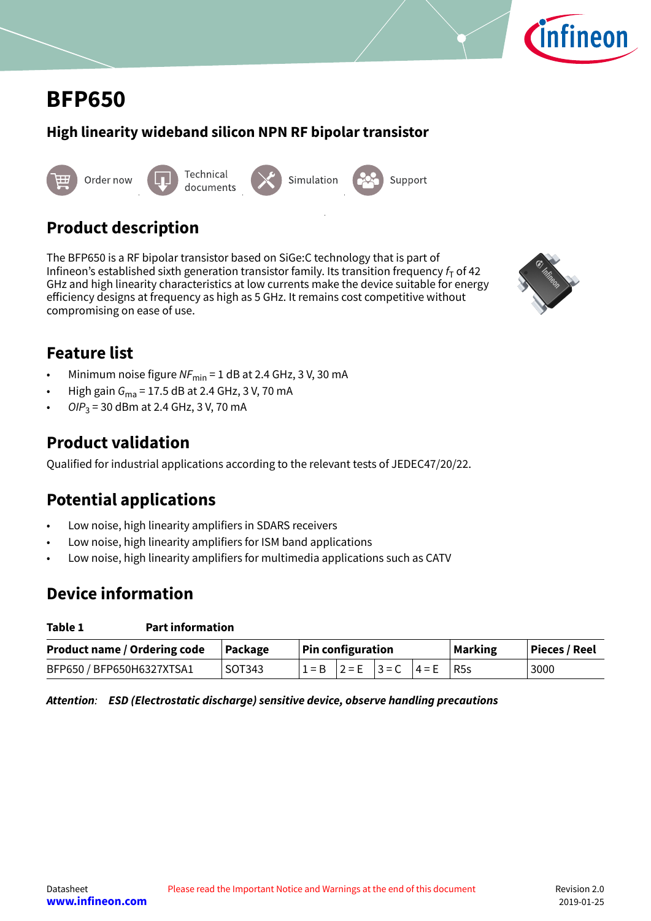

# <span id="page-0-0"></span>**BFP650**

## **High linearity wideband silicon NPN RF bipolar transistor**



## **Product description**

The BFP650 is a RF bipolar transistor based on SiGe:C technology that is part of Infineon's established sixth generation transistor family. Its transition frequency  $f<sub>T</sub>$  of 42 GHz and high linearity characteristics at low currents make the device suitable for energy efficiency designs at frequency as high as 5 GHz. It remains cost competitive without compromising on ease of use.



## **Feature list**

- Minimum noise figure  $NF_{\text{min}} = 1$  dB at 2.4 GHz, 3 V, 30 mA
- High gain  $G_{\text{ma}}$  = 17.5 dB at 2.4 GHz, 3 V, 70 mA
- OI $P_3$  = 30 dBm at 2.4 GHz, 3 V, 70 mA

## **Product validation**

Qualified for industrial applications according to the relevant tests of JEDEC47/20/22.

## **Potential applications**

- Low noise, high linearity amplifiers in SDARS receivers
- Low noise, high linearity amplifiers for ISM band applications
- Low noise, high linearity amplifiers for multimedia applications such as CATV

## **Device information**

| Table 1 | <b>Part information</b> |
|---------|-------------------------|
|---------|-------------------------|

| Product name / Ordering code   Package |        | $\vert$ Pin configuration |  |  |                                     | <b>Marking</b> | <b>Pieces / Reel</b> |
|----------------------------------------|--------|---------------------------|--|--|-------------------------------------|----------------|----------------------|
| BFP650 / BFP650H6327XTSA1              | SOT343 |                           |  |  | $1 = B$ $2 = E$ $3 = C$ $4 = E$ R5s |                | 3000                 |

**Attention**: **ESD (Electrostatic discharge) sensitive device, observe handling precautions**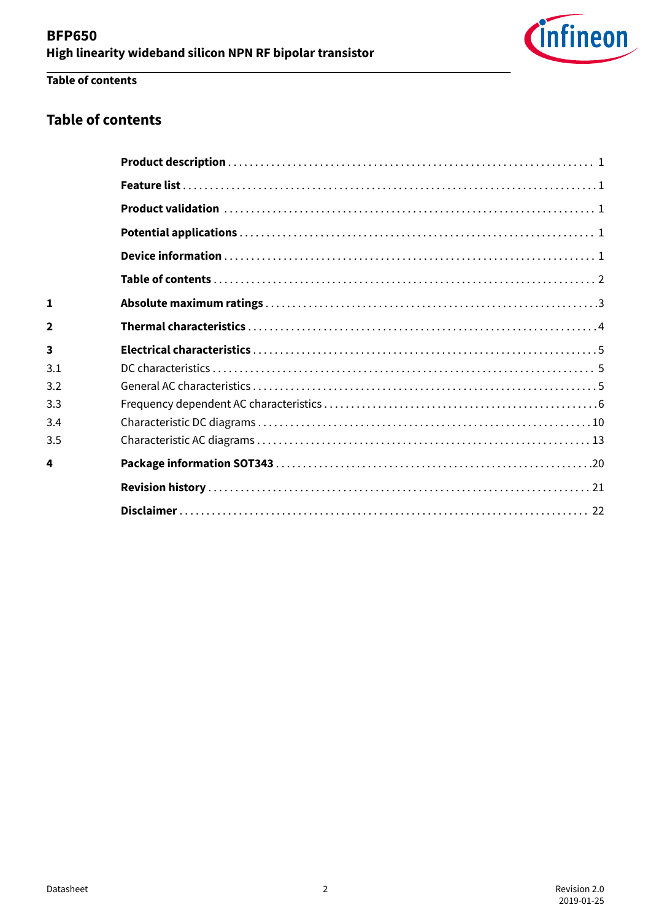

## **Table of contents**

## **Table of contents**

| 1              |  |
|----------------|--|
| $\overline{2}$ |  |
| 3              |  |
| 3.1            |  |
| 3.2            |  |
| 3.3            |  |
| 3.4            |  |
| 3.5            |  |
| 4              |  |
|                |  |
|                |  |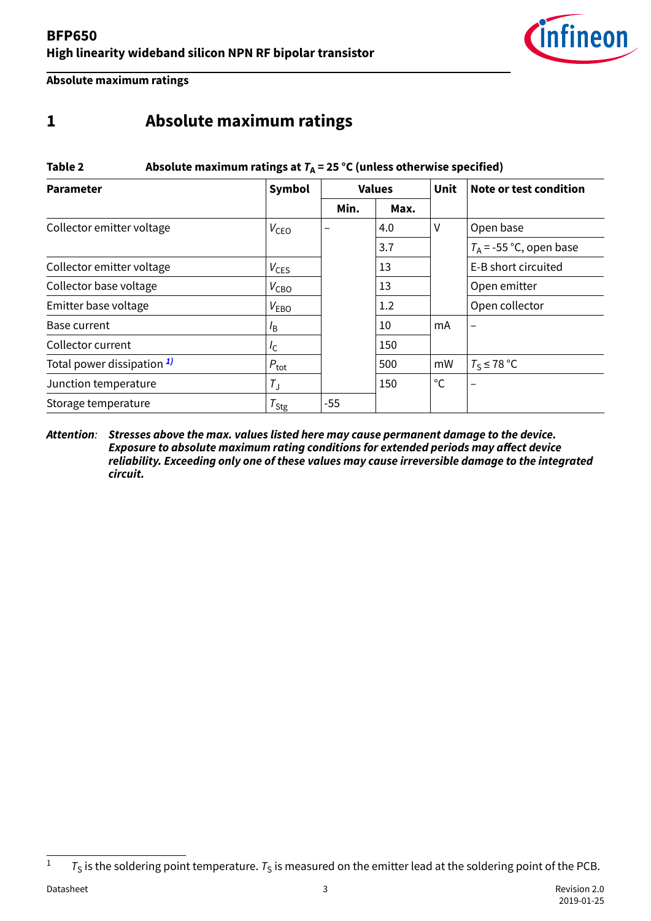

<span id="page-2-0"></span>**Absolute maximum ratings**

## **1 Absolute maximum ratings**

| Table 2                    | Absolute maximum ratings at $T_A = 25$ °C (unless otherwise specified) |       |               |              |                           |  |  |  |  |  |  |
|----------------------------|------------------------------------------------------------------------|-------|---------------|--------------|---------------------------|--|--|--|--|--|--|
| <b>Parameter</b>           | <b>Symbol</b>                                                          |       | <b>Values</b> | <b>Unit</b>  | Note or test condition    |  |  |  |  |  |  |
|                            |                                                                        | Min.  | Max.          |              |                           |  |  |  |  |  |  |
| Collector emitter voltage  | $V_{\text{CEO}}$                                                       |       | 4.0           | V            | Open base                 |  |  |  |  |  |  |
|                            |                                                                        |       | 3.7           |              | $T_A$ = -55 °C, open base |  |  |  |  |  |  |
| Collector emitter voltage  | $V_{CES}$                                                              |       | 13            |              | E-B short circuited       |  |  |  |  |  |  |
| Collector base voltage     | $V_{\text{CBO}}$                                                       |       | 13            |              | Open emitter              |  |  |  |  |  |  |
| Emitter base voltage       | $V_{EBO}$                                                              |       | 1.2           |              | Open collector            |  |  |  |  |  |  |
| Base current               | $l_{\mathsf{B}}$                                                       |       | 10            | mA           |                           |  |  |  |  |  |  |
| Collector current          | $I_{\mathsf{C}}$                                                       |       | 150           |              |                           |  |  |  |  |  |  |
| Total power dissipation 1) | $P_{\text{tot}}$                                                       |       | 500           | mW           | $T_S \leq 78$ °C          |  |  |  |  |  |  |
| Junction temperature       | $T_{\rm J}$                                                            |       | 150           | $^{\circ}$ C |                           |  |  |  |  |  |  |
| Storage temperature        | $T_{\text{Stg}}$                                                       | $-55$ |               |              |                           |  |  |  |  |  |  |

#### **Attention**: **Stresses above the max. values listed here may cause permanent damage to the device. Exposure to absolute maximum rating conditions for extended periods may affect device reliability. Exceeding only one of these values may cause irreversible damage to the integrated circuit.**

 $1 - T_S$  is the soldering point temperature.  $T_S$  is measured on the emitter lead at the soldering point of the PCB.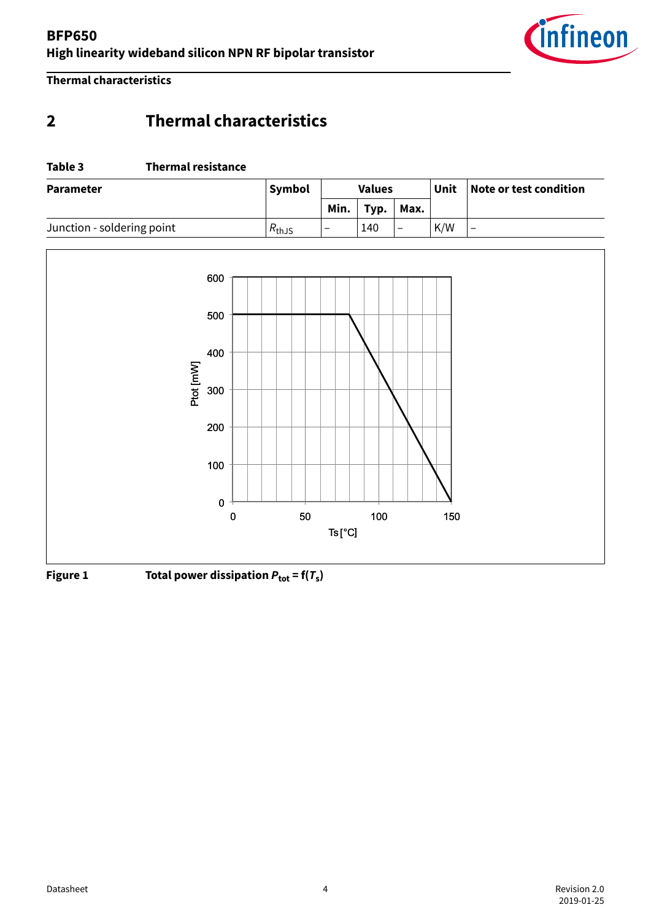

<span id="page-3-0"></span>**Thermal characteristics**

## **2 Thermal characteristics**

#### **Table 3 Thermal resistance**

| Symbol<br><b>Parameter</b> |             |                          | <b>Values</b> |                          | Unit | Note or test condition   |
|----------------------------|-------------|--------------------------|---------------|--------------------------|------|--------------------------|
|                            |             | Min.                     | Typ.          | Max.                     |      |                          |
| Junction - soldering point | $R_{th,JS}$ | $\overline{\phantom{0}}$ | 140           | $\overline{\phantom{0}}$ | K/W  | $\overline{\phantom{0}}$ |



**Figure 1** Total power dissipation  $P_{\text{tot}} = f(T_s)$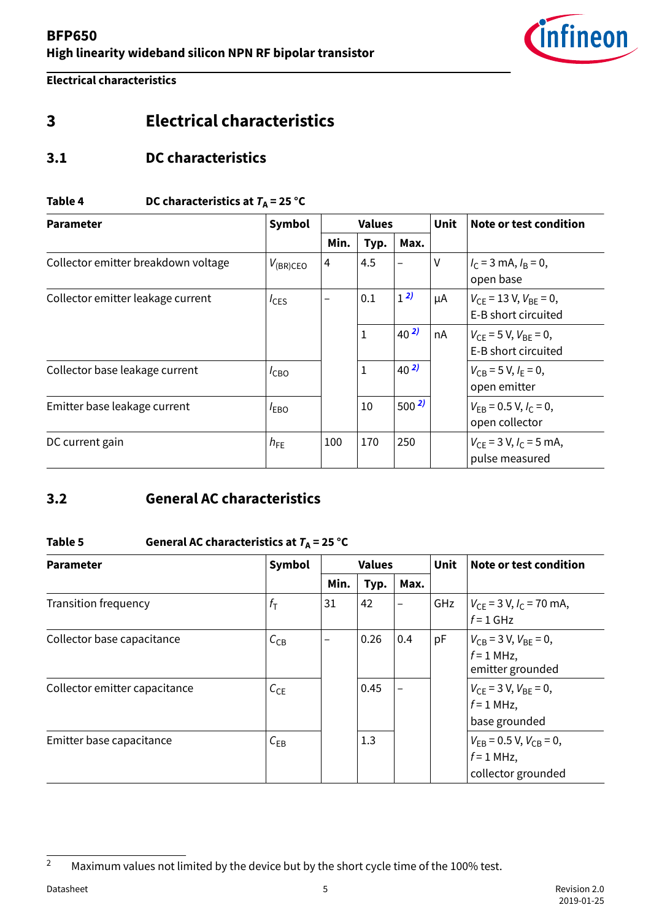

<span id="page-4-0"></span>**Electrical characteristics**

## **3 Electrical characteristics**

## **3.1 DC characteristics**

#### **Table 4** DC characteristics at  $T_A = 25 \text{ °C}$

| <b>Parameter</b>                    | Symbol        |      | <b>Values</b> |           | <b>Unit</b> | Note or test condition                                |
|-------------------------------------|---------------|------|---------------|-----------|-------------|-------------------------------------------------------|
|                                     |               | Min. | Typ.          | Max.      |             |                                                       |
| Collector emitter breakdown voltage | $V_{(BR)CEO}$ | 4    | 4.5           |           | ۷           | $I_C$ = 3 mA, $I_B$ = 0,<br>open base                 |
| Collector emitter leakage current   | $I_{CES}$     | —    | 0.1           | $1^{2}$   | μA          | $V_{CF}$ = 13 V, $V_{BF}$ = 0,<br>E-B short circuited |
|                                     |               |      | 1             | $40^{2}$  | nA          | $V_{CE}$ = 5 V, $V_{BE}$ = 0,<br>E-B short circuited  |
| Collector base leakage current      | $I_{CBO}$     |      | $\mathbf{1}$  | $40^{2}$  |             | $V_{CB} = 5 V, I_F = 0,$<br>open emitter              |
| Emitter base leakage current        | $I_{EBO}$     |      | 10            | $500^{2}$ |             | $V_{FB}$ = 0.5 V, $I_C$ = 0,<br>open collector        |
| DC current gain                     | $h_{FE}$      | 100  | 170           | 250       |             | $V_{CE}$ = 3 V, $I_C$ = 5 mA,<br>pulse measured       |

## **3.2 General AC characteristics**

### **Table 5 General AC characteristics at**  $T_A = 25$  **°C**

| <b>Parameter</b>              | Symbol           |                          | <b>Values</b> |                          | <b>Unit</b> | Note or test condition                                                |
|-------------------------------|------------------|--------------------------|---------------|--------------------------|-------------|-----------------------------------------------------------------------|
|                               |                  | Min.                     | Typ.          | Max.                     |             |                                                                       |
| <b>Transition frequency</b>   | $f_{\mathsf{T}}$ | 31                       | 42            | $\overline{\phantom{0}}$ | GHz         | $V_{CE}$ = 3 V, $I_C$ = 70 mA,<br>$f = 1$ GHz                         |
| Collector base capacitance    | $C_{CB}$         | $\overline{\phantom{0}}$ | 0.26          | 0.4                      | pF          | $V_{CB}$ = 3 V, $V_{BE}$ = 0,<br>$f = 1$ MHz,<br>emitter grounded     |
| Collector emitter capacitance | $C_{CE}$         |                          | 0.45          | $\overline{\phantom{0}}$ |             | $V_{CE}$ = 3 V, $V_{BE}$ = 0,<br>$f = 1$ MHz,<br>base grounded        |
| Emitter base capacitance      | $C_{EB}$         |                          | 1.3           |                          |             | $V_{FB}$ = 0.5 V, $V_{CB}$ = 0,<br>$f = 1$ MHz,<br>collector grounded |

<sup>&</sup>lt;sup>2</sup> Maximum values not limited by the device but by the short cycle time of the 100% test.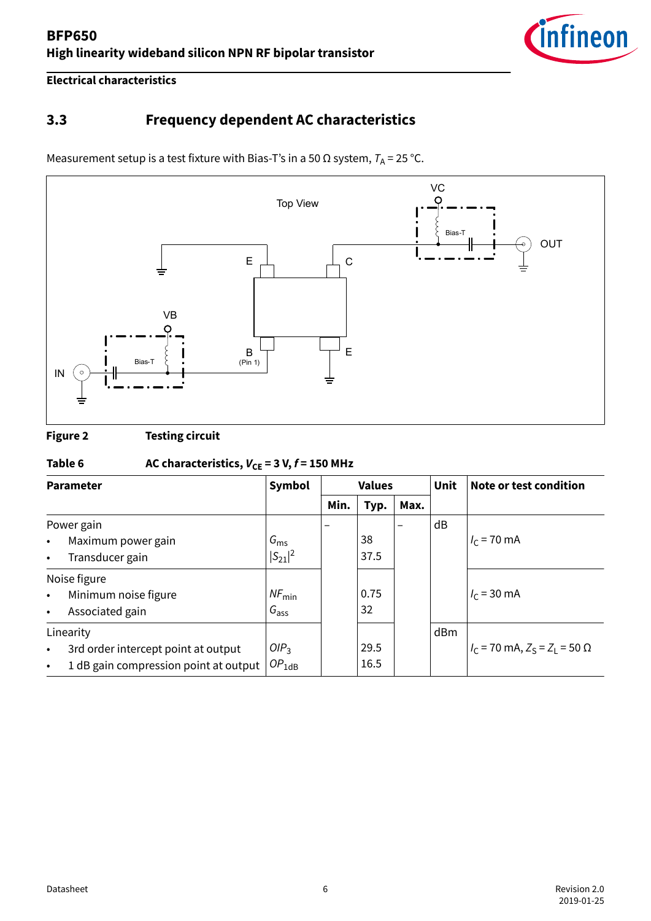

<span id="page-5-0"></span>**Electrical characteristics**

## **3.3 Frequency dependent AC characteristics**

Measurement setup is a test fixture with Bias-T's in a 50  $\Omega$  system,  $T_A$  = 25 °C.



**Figure 2 Testing circuit**

## Table 6  $AC characteristics, V_{CE} = 3 V, f = 150 MHz$

| <b>Parameter</b> |                                       | Symbol            |      | <b>Values</b> |  | <b>Unit</b> | Note or test condition                     |
|------------------|---------------------------------------|-------------------|------|---------------|--|-------------|--------------------------------------------|
|                  |                                       | Min.              | Typ. | Max.          |  |             |                                            |
|                  | Power gain                            |                   |      |               |  | dB          |                                            |
| $\bullet$        | Maximum power gain                    | $G_{\rm ms}$      |      | 38            |  |             | $I_c$ = 70 mA                              |
| $\bullet$        | Transducer gain                       | $ S_{21} ^2$      |      | 37.5          |  |             |                                            |
|                  | Noise figure                          |                   |      |               |  |             |                                            |
| $\bullet$        | Minimum noise figure                  | $NF_{\text{min}}$ |      | 0.75          |  |             | $I_c$ = 30 mA                              |
| $\bullet$        | Associated gain                       | $G_{\text{ass}}$  |      | 32            |  |             |                                            |
|                  | Linearity                             |                   |      |               |  | dBm         |                                            |
| $\bullet$        | 3rd order intercept point at output   | OIP <sub>3</sub>  |      | 29.5          |  |             | $I_C$ = 70 mA, $Z_S$ = $Z_I$ = 50 $\Omega$ |
| $\bullet$        | 1 dB gain compression point at output | $OP_{1dB}$        |      | 16.5          |  |             |                                            |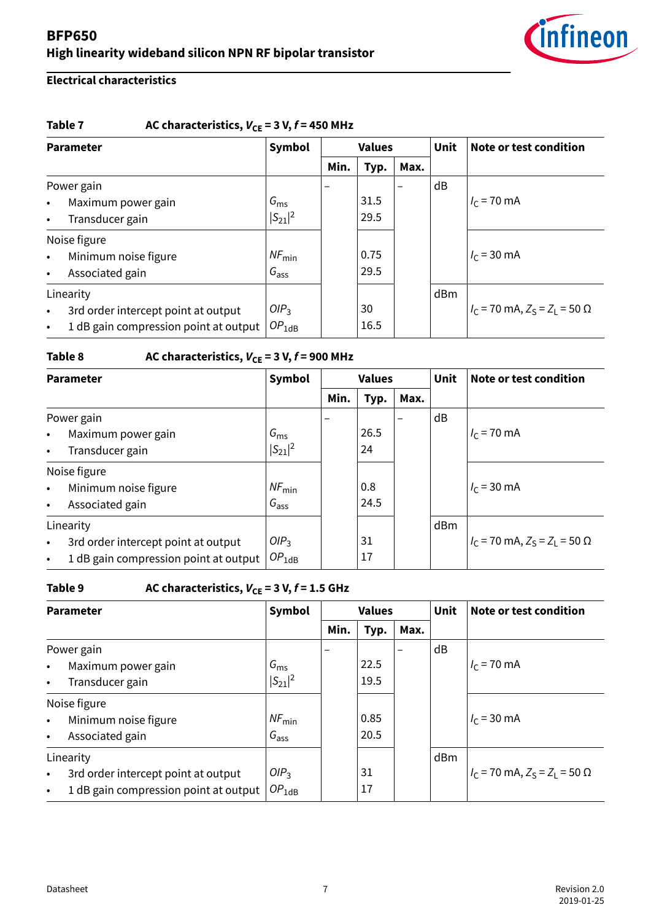

## **Electrical characteristics**

#### Table 7  $\qquad$  AC characteristics,  $V_{CE} = 3 V, f = 450 MHz$

| <b>Parameter</b> |                                       | Symbol            |      | <b>Values</b> |                          | <b>Unit</b> | Note or test condition                     |
|------------------|---------------------------------------|-------------------|------|---------------|--------------------------|-------------|--------------------------------------------|
|                  |                                       |                   | Min. | Typ.          | Max.                     |             |                                            |
|                  | Power gain                            |                   |      |               | $\overline{\phantom{0}}$ | dB          |                                            |
| $\bullet$        | Maximum power gain                    | $G_{\rm ms}$      |      | 31.5          |                          |             | $I_c$ = 70 mA                              |
| $\bullet$        | Transducer gain                       | $ S_{21} ^2$      |      | 29.5          |                          |             |                                            |
|                  | Noise figure                          |                   |      |               |                          |             |                                            |
| $\bullet$        | Minimum noise figure                  | $NF_{\text{min}}$ |      | 0.75          |                          |             | $I_c = 30 \text{ mA}$                      |
| $\bullet$        | Associated gain                       | $G_{\text{ass}}$  |      | 29.5          |                          |             |                                            |
|                  | Linearity                             |                   |      |               |                          | dBm         |                                            |
| $\bullet$        | 3rd order intercept point at output   | OIP <sub>3</sub>  |      | 30            |                          |             | $I_C$ = 70 mA, $Z_S$ = $Z_I$ = 50 $\Omega$ |
| $\bullet$        | 1 dB gain compression point at output | $OP_{1dB}$        |      | 16.5          |                          |             |                                            |

## Table 8  $AC characteristics, V_{CE} = 3 V, f = 900 MHz$

| <b>Parameter</b> |                                       | Symbol            |      | <b>Values</b> |      | <b>Unit</b> | Note or test condition                     |
|------------------|---------------------------------------|-------------------|------|---------------|------|-------------|--------------------------------------------|
|                  |                                       |                   | Min. | Typ.          | Max. |             |                                            |
|                  | Power gain                            |                   |      |               |      | dB          |                                            |
| $\bullet$        | Maximum power gain                    | $G_{\rm ms}$      |      | 26.5          |      |             | $I_c$ = 70 mA                              |
| $\bullet$        | Transducer gain                       | $ S_{21} ^2$      |      | 24            |      |             |                                            |
|                  | Noise figure                          |                   |      |               |      |             |                                            |
| $\bullet$        | Minimum noise figure                  | $NF_{\text{min}}$ |      | 0.8           |      |             | $I_c$ = 30 mA                              |
| $\bullet$        | Associated gain                       | $G_{\text{ass}}$  |      | 24.5          |      |             |                                            |
|                  | Linearity                             |                   |      |               |      | dBm         |                                            |
| $\bullet$        | 3rd order intercept point at output   | OIP <sub>3</sub>  |      | 31            |      |             | $I_C$ = 70 mA, $Z_S$ = $Z_I$ = 50 $\Omega$ |
| $\bullet$        | 1 dB gain compression point at output | $OP_{1dB}$        |      | 17            |      |             |                                            |

## **Table 9** AC characteristics,  $V_{CE} = 3 V$ ,  $f = 1.5$  GHz

|           | <b>Parameter</b>                      |                   |                          | <b>Values</b> |                          | <b>Unit</b> | Note or test condition                     |
|-----------|---------------------------------------|-------------------|--------------------------|---------------|--------------------------|-------------|--------------------------------------------|
|           |                                       |                   | Min.                     | Typ.          | Max.                     |             |                                            |
|           | Power gain                            |                   | $\overline{\phantom{0}}$ |               | $\overline{\phantom{0}}$ | dB          |                                            |
| $\bullet$ | Maximum power gain                    | $G_{\rm ms}$      |                          | 22.5          |                          |             | $I_c$ = 70 mA                              |
| $\bullet$ | Transducer gain                       | $ S_{21} ^2$      |                          | 19.5          |                          |             |                                            |
|           | Noise figure                          |                   |                          |               |                          |             |                                            |
| $\bullet$ | Minimum noise figure                  | $NF_{\text{min}}$ |                          | 0.85          |                          |             | $I_c$ = 30 mA                              |
| $\bullet$ | Associated gain                       | $G_{\text{ass}}$  |                          | 20.5          |                          |             |                                            |
|           | Linearity                             |                   |                          |               |                          | dBm         |                                            |
| $\bullet$ | 3rd order intercept point at output   | OIP <sub>3</sub>  |                          | 31            |                          |             | $I_C$ = 70 mA, $Z_S$ = $Z_I$ = 50 $\Omega$ |
| $\bullet$ | 1 dB gain compression point at output | $OP_{1dB}$        |                          | 17            |                          |             |                                            |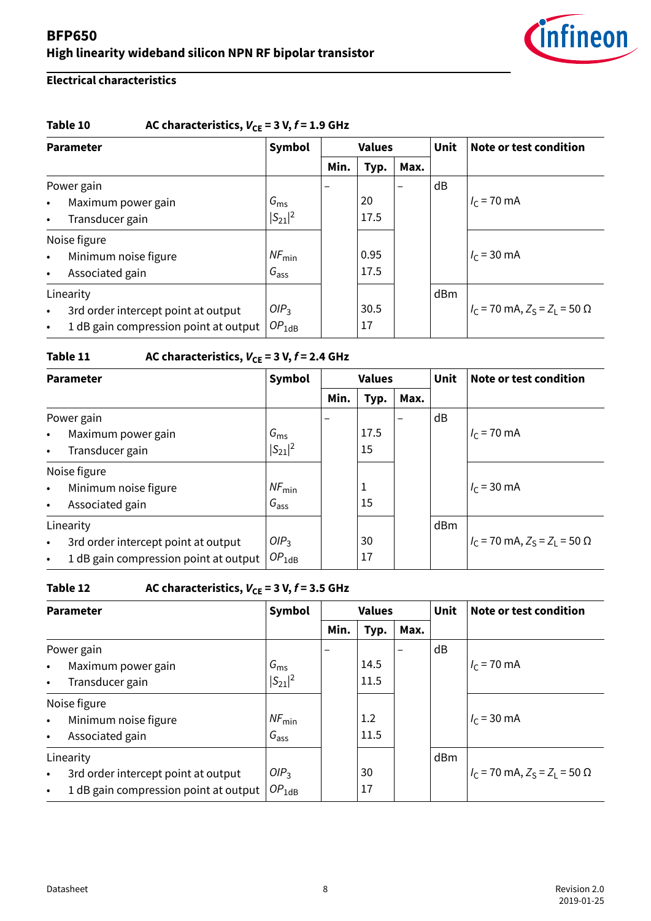

## **Electrical characteristics**

#### **Table 10** AC characteristics,  $V_{CE} = 3 V, f = 1.9$  GHz

| <b>Parameter</b> |                                       | Symbol            |      | <b>Values</b> |                          | <b>Unit</b> | Note or test condition                     |
|------------------|---------------------------------------|-------------------|------|---------------|--------------------------|-------------|--------------------------------------------|
|                  |                                       |                   | Min. | Typ.          | Max.                     |             |                                            |
|                  | Power gain                            |                   |      |               | $\overline{\phantom{0}}$ | dB          |                                            |
| $\bullet$        | Maximum power gain                    | $G_{\rm ms}$      |      | 20            |                          |             | $I_c$ = 70 mA                              |
| $\bullet$        | Transducer gain                       | $ S_{21} ^2$      |      | 17.5          |                          |             |                                            |
|                  | Noise figure                          |                   |      |               |                          |             |                                            |
| $\bullet$        | Minimum noise figure                  | $NF_{\text{min}}$ |      | 0.95          |                          |             | $I_c = 30 \text{ mA}$                      |
| $\bullet$        | Associated gain                       | $G_{\text{ass}}$  |      | 17.5          |                          |             |                                            |
|                  | Linearity                             |                   |      |               |                          | dBm         |                                            |
| $\bullet$        | 3rd order intercept point at output   | OIP <sub>3</sub>  |      | 30.5          |                          |             | $I_C$ = 70 mA, $Z_S$ = $Z_I$ = 50 $\Omega$ |
| $\bullet$        | 1 dB gain compression point at output | $OP_{1dB}$        |      | 17            |                          |             |                                            |

## **Table 11** AC characteristics,  $V_{CE} = 3 V$ ,  $f = 2.4$  GHz

| <b>Parameter</b> |                                       | Symbol            | <b>Values</b> |      |      | <b>Unit</b> | Note or test condition                     |
|------------------|---------------------------------------|-------------------|---------------|------|------|-------------|--------------------------------------------|
|                  |                                       |                   | Min.          | Typ. | Max. |             |                                            |
| Power gain       |                                       |                   |               |      |      | dB          |                                            |
| $\bullet$        | Maximum power gain                    | $G_{\rm ms}$      |               | 17.5 |      |             | $I_c$ = 70 mA                              |
| $\bullet$        | Transducer gain                       | $ S_{21} ^2$      |               | 15   |      |             |                                            |
|                  | Noise figure                          |                   |               |      |      |             |                                            |
| $\bullet$        | Minimum noise figure                  | $NF_{\text{min}}$ |               | 1    |      |             | $I_c$ = 30 mA                              |
| $\bullet$        | Associated gain                       | $G_{\text{ass}}$  |               | 15   |      |             |                                            |
|                  | Linearity                             |                   |               |      |      | dBm         |                                            |
| $\bullet$        | 3rd order intercept point at output   | OIP <sub>3</sub>  |               | 30   |      |             | $I_C$ = 70 mA, $Z_S$ = $Z_I$ = 50 $\Omega$ |
| $\bullet$        | 1 dB gain compression point at output | $OP_{1dB}$        |               | 17   |      |             |                                            |

## **Table 12** AC characteristics,  $V_{CE} = 3 V$ ,  $f = 3.5$  GHz

| <b>Parameter</b> |                                       | Symbol            | <b>Values</b> |      |      | <b>Unit</b> | Note or test condition                     |
|------------------|---------------------------------------|-------------------|---------------|------|------|-------------|--------------------------------------------|
|                  |                                       |                   | Min.          | Typ. | Max. |             |                                            |
| Power gain       |                                       |                   |               |      |      | dB          |                                            |
| $\bullet$        | Maximum power gain                    | $G_{\rm ms}$      |               | 14.5 |      |             | $I_c$ = 70 mA                              |
| $\bullet$        | Transducer gain                       | $ S_{21} ^2$      |               | 11.5 |      |             |                                            |
|                  | Noise figure                          |                   |               |      |      |             |                                            |
| $\bullet$        | Minimum noise figure                  | $NF_{\text{min}}$ |               | 1.2  |      |             | $I_c$ = 30 mA                              |
| $\bullet$        | Associated gain                       | $G_{\text{ass}}$  |               | 11.5 |      |             |                                            |
|                  | Linearity                             |                   |               |      |      | dBm         |                                            |
| $\bullet$        | 3rd order intercept point at output   | OIP <sub>3</sub>  |               | 30   |      |             | $I_C$ = 70 mA, $Z_S$ = $Z_L$ = 50 $\Omega$ |
| $\bullet$        | 1 dB gain compression point at output | $OP_{1dB}$        |               | 17   |      |             |                                            |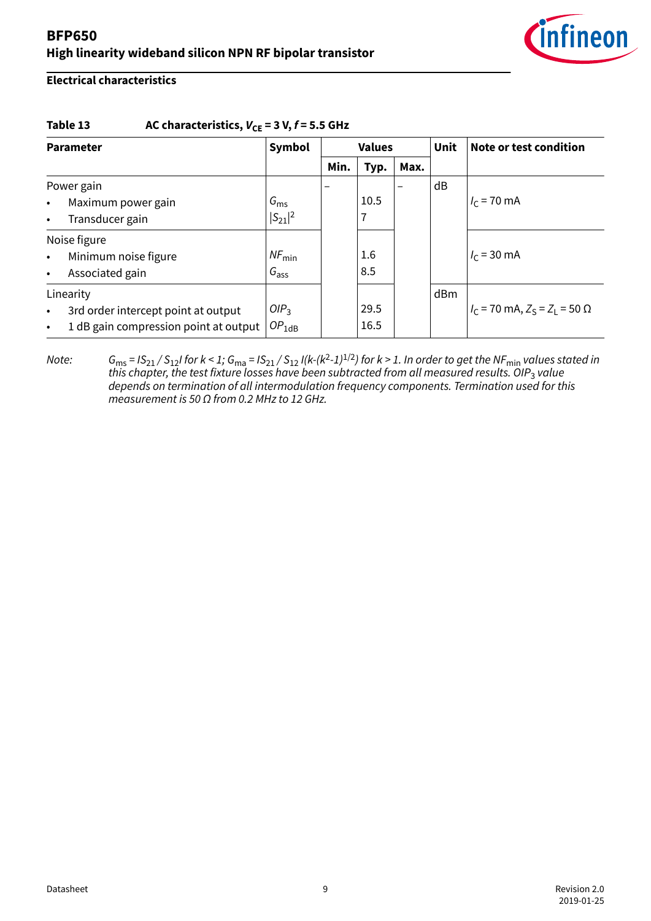

#### **Electrical characteristics**

#### Table 13 AC characteristics,  $V_{CE} = 3 V$ ,  $f = 5.5 GHz$

| <b>Parameter</b> |                                       | Symbol            | <b>Values</b> |      |      | <b>Unit</b> | Note or test condition                     |
|------------------|---------------------------------------|-------------------|---------------|------|------|-------------|--------------------------------------------|
|                  |                                       |                   | Min.          | Typ. | Max. |             |                                            |
| Power gain       |                                       |                   |               |      |      | dB          |                                            |
| $\bullet$        | Maximum power gain                    | $G_{\rm ms}$      |               | 10.5 |      |             | $I_c$ = 70 mA                              |
| $\bullet$        | Transducer gain                       | $ S_{21} ^2$      |               | 7    |      |             |                                            |
| Noise figure     |                                       |                   |               |      |      |             |                                            |
| $\bullet$        | Minimum noise figure                  | $NF_{\text{min}}$ |               | 1.6  |      |             | $I_c = 30 \text{ mA}$                      |
| $\bullet$        | Associated gain                       | $G_{\text{ass}}$  |               | 8.5  |      |             |                                            |
| Linearity        |                                       |                   |               |      |      | dBm         |                                            |
| $\bullet$        | 3rd order intercept point at output   | OIP <sub>3</sub>  |               | 29.5 |      |             | $I_C$ = 70 mA, $Z_S$ = $Z_L$ = 50 $\Omega$ |
| $\bullet$        | 1 dB gain compression point at output | $OP_{1dB}$        |               | 16.5 |      |             |                                            |

Note:  $G_{\rm ms}$  = IS $_{21}/$  S $_{12}$ I for k < 1;  $G_{\rm ma}$  = IS $_{21}/$  S $_{12}$  I(k-(k<sup>2</sup>-1) $^{1/2}$ ) for k > 1. In order to get the NF $_{\rm min}$  values stated in this chapter, the test fixture losses have been subtracted from all measured results. OIP<sub>3</sub> value depends on termination of all intermodulation frequency components. Termination used for this measurement is 50  $\Omega$  from 0.2 MHz to 12 GHz.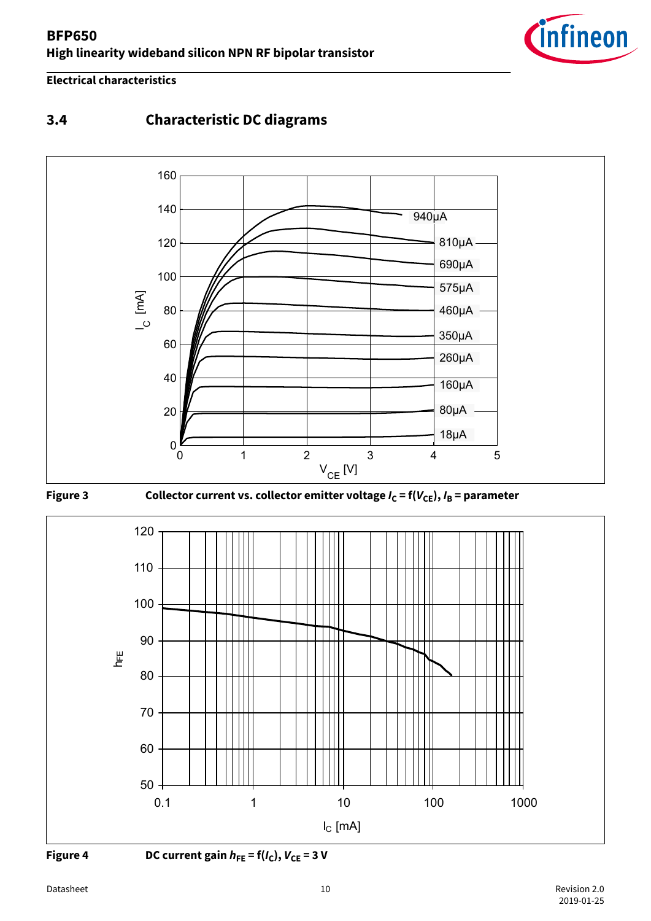

### <span id="page-9-0"></span>**Electrical characteristics**

## **3.4 Characteristic DC diagrams**









**Figure 4** DC current gain  $h_{FE} = f(I_C)$ ,  $V_{CE} = 3$  V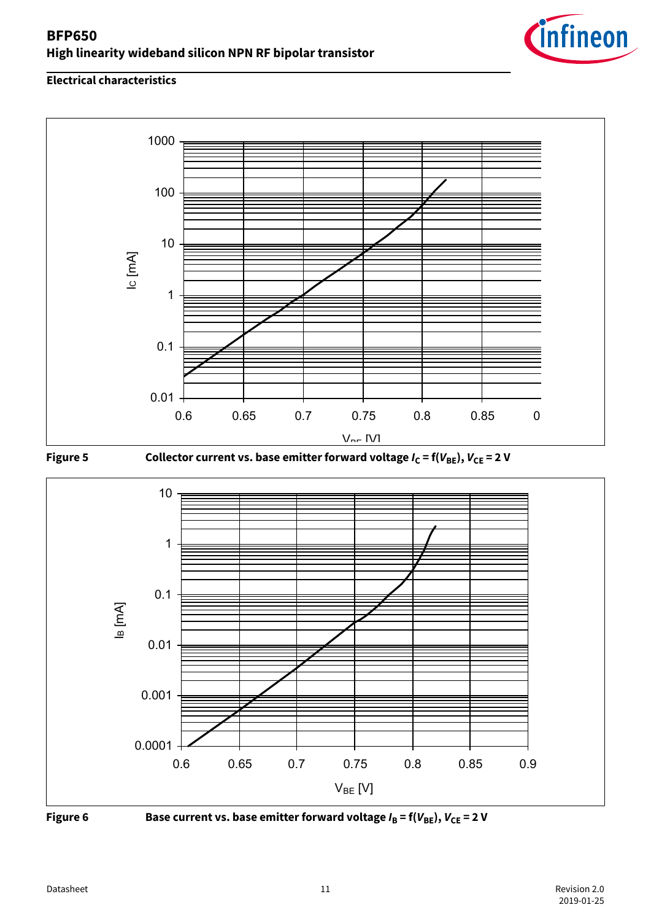





**Figure 5** Collector current vs. base emitter forward voltage  $I_C = f(V_{BE})$ ,  $V_{CE} = 2 V$ 





**Figure 6** Base current vs. base emitter forward voltage  $I_B = f(V_{BE})$ ,  $V_{CE} = 2 V$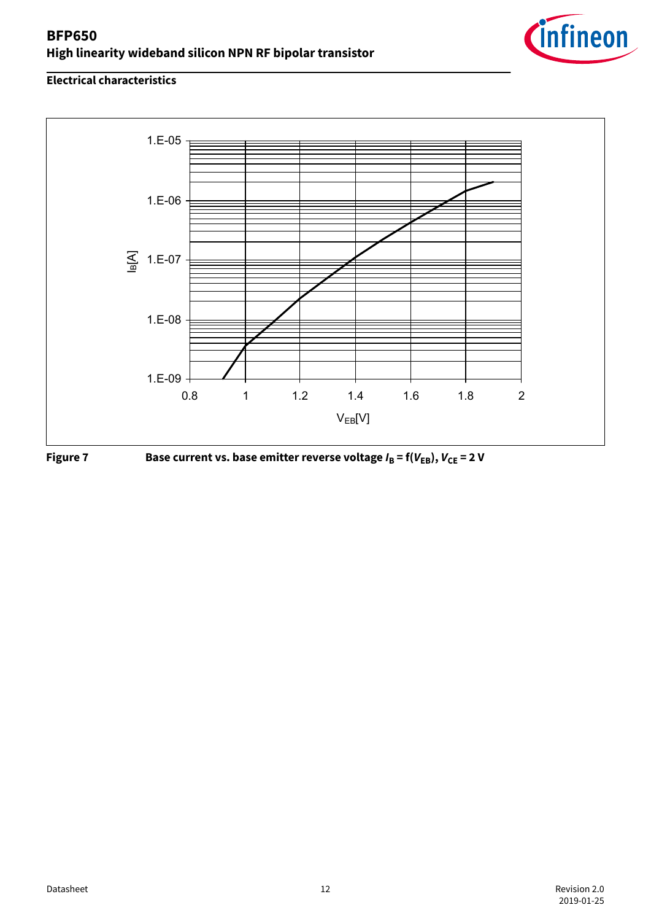





**Figure 7** Base current vs. base emitter reverse voltage  $I_B = f(V_{EB})$ ,  $V_{CE} = 2 V$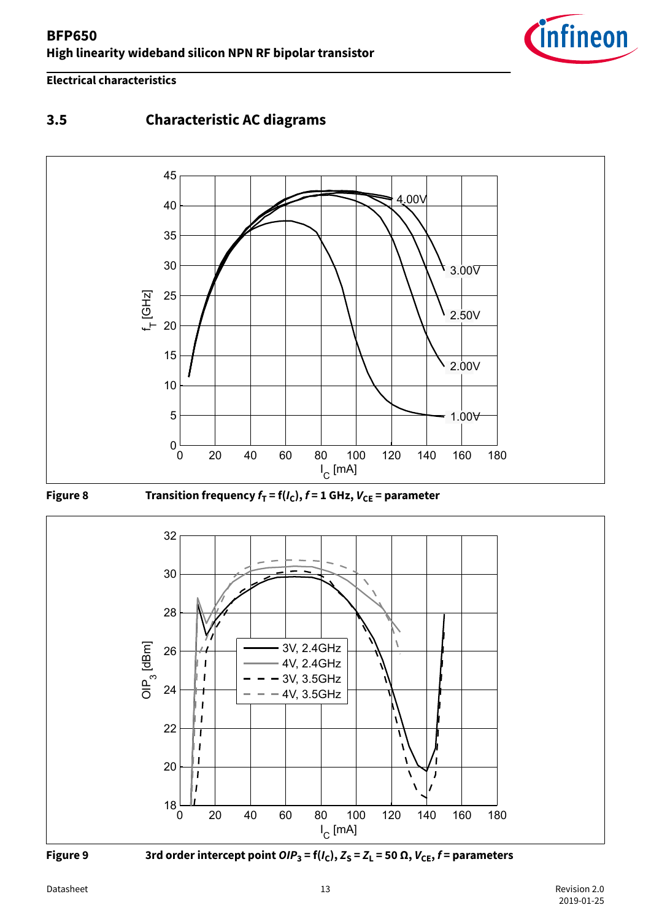

#### <span id="page-12-0"></span>**Electrical characteristics**

## **3.5 Characteristic AC diagrams**





0 20 40 60 80 100 120 140 160 180  $18$ 20 22  $24$  +  $+$   $-$  4V, 3.5GHz  $26$   $\rightarrow$   $\rightarrow$   $\rightarrow$  3V, 2.4GHz 28  $\rightarrow$  $30$   $\rightarrow$   $\rightarrow$  $32$   $\sqrt{2}$  $I_{C}$  [mA] [mA] OIP<sup>3</sup> [dBm] 3V, 2.4GHz 4V, 2.4GHz 3V, 3.5GHz



 **Figure 9** 3rd order intercept point  $\text{OIP}_3$  = f( $I_\text{C}$ ),  $Z_\text{S}$  =  $Z_\text{L}$  = 50  $\Omega$ ,  $V_\text{CE}$ ,  $f$  = parameters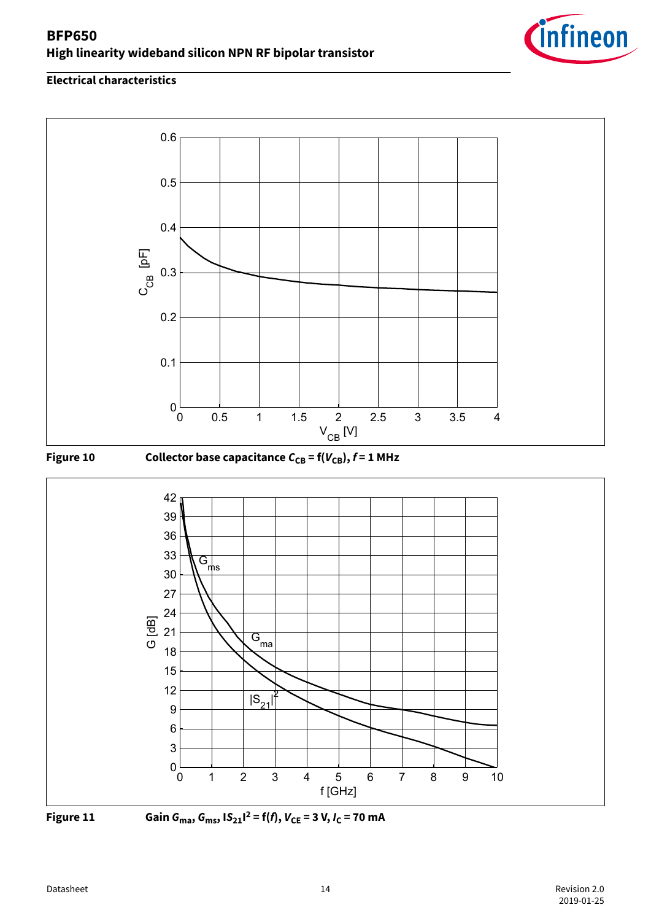









**Figure 11 Gain**  $G_{\text{max}}$ **,**  $G_{\text{ms}}$ **,**  $|S_{21}|^2 = f(f)$ **,**  $V_{\text{CE}} = 3 \text{ V}$ **,**  $I_{\text{C}} = 70 \text{ mA}$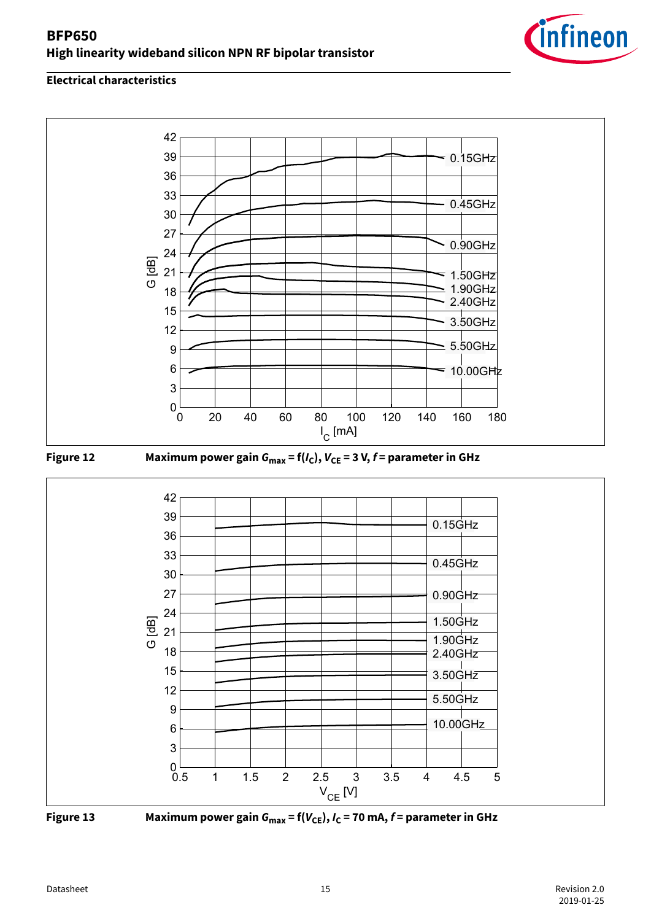







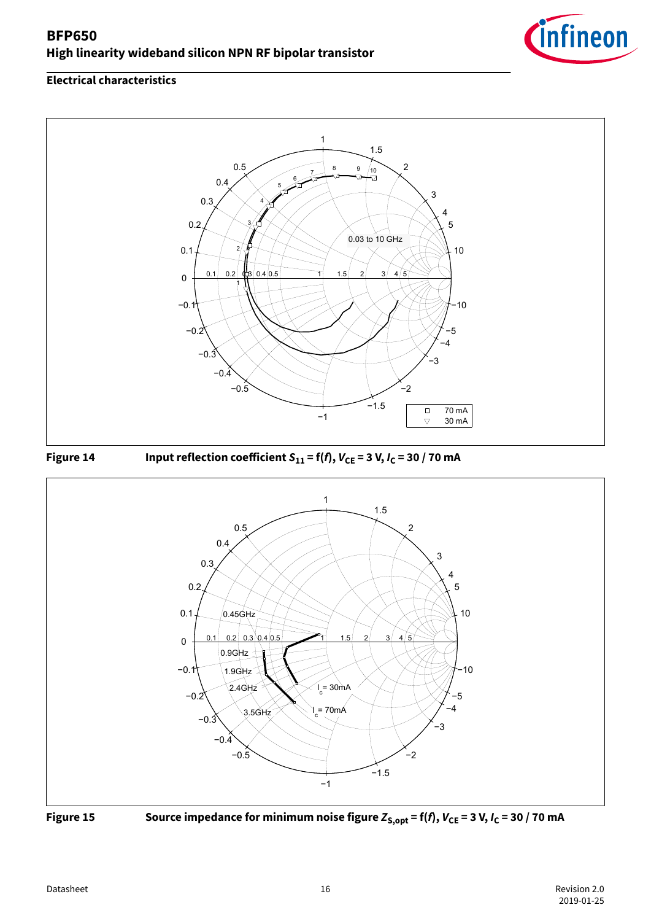







**Figure 15** Source impedance for minimum noise figure  $Z_{S, opt} = f(f)$ ,  $V_{CE} = 3 V$ ,  $I_C = 30 / 70$  mA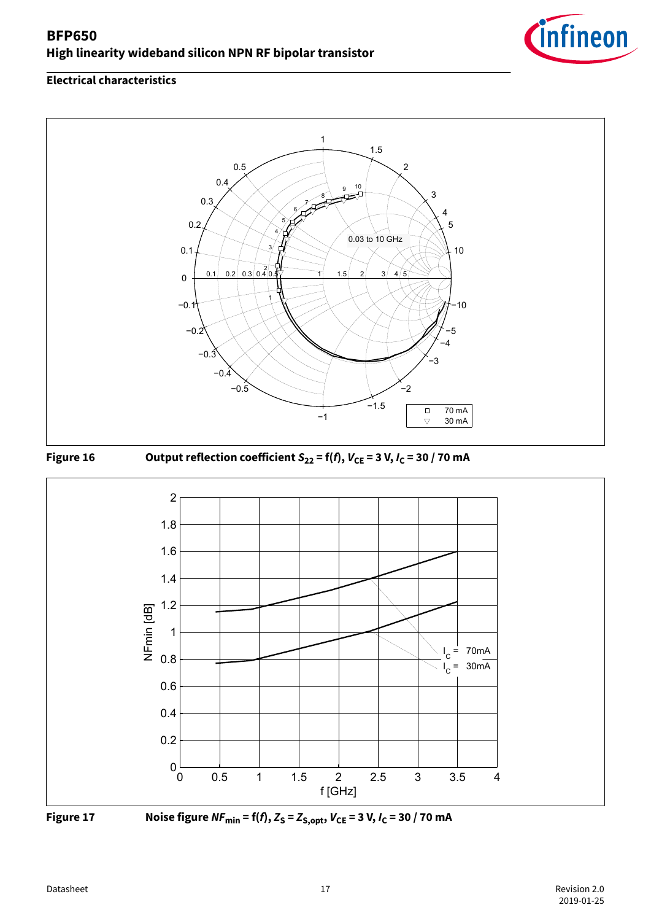









**Figure 17** Noise figure  $NF_{min} = f(f), Z_S = Z_{S, opt}, V_{CE} = 3 V, I_C = 30 / 70$  mA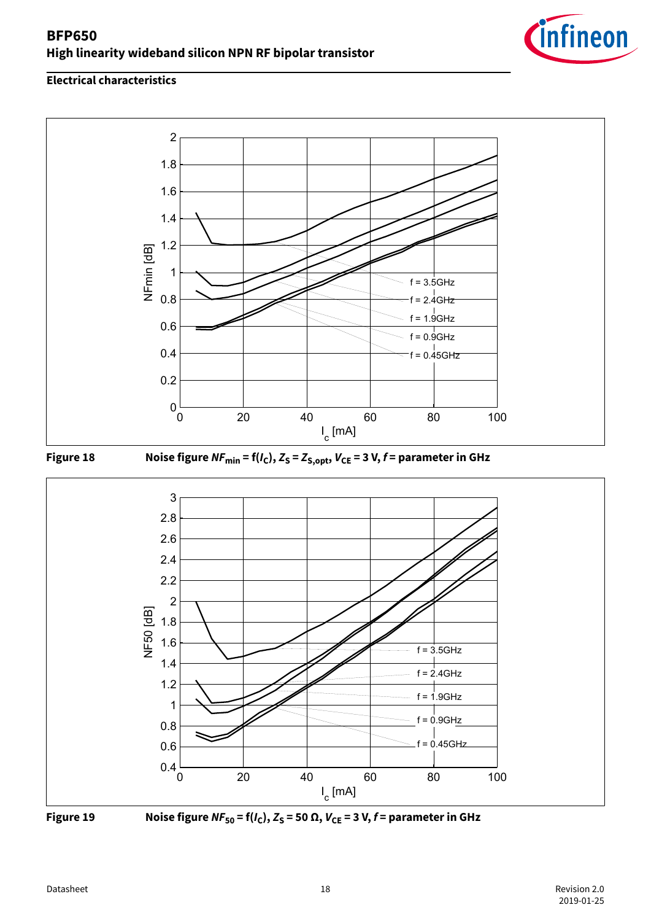









**Figure 19** Noise figure  $NF_{50} = f(I_C)$ ,  $Z_S = 50 \Omega$ ,  $V_{CE} = 3 V$ ,  $f =$  parameter in GHz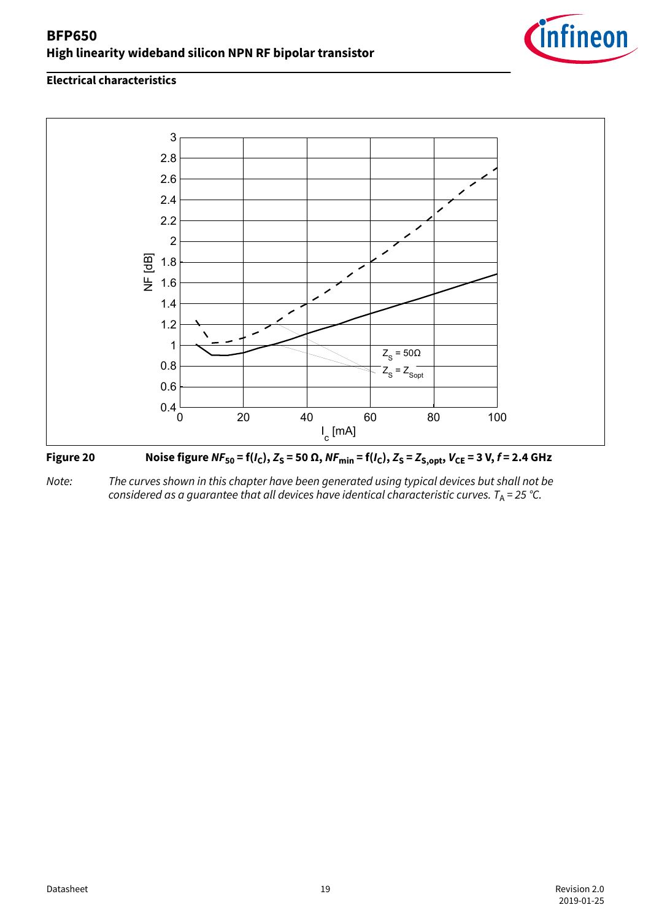

#### **Electrical characteristics**





Note: The curves shown in this chapter have been generated using typical devices but shall not be considered as a guarantee that all devices have identical characteristic curves. T<sub>A</sub> = 25 °C.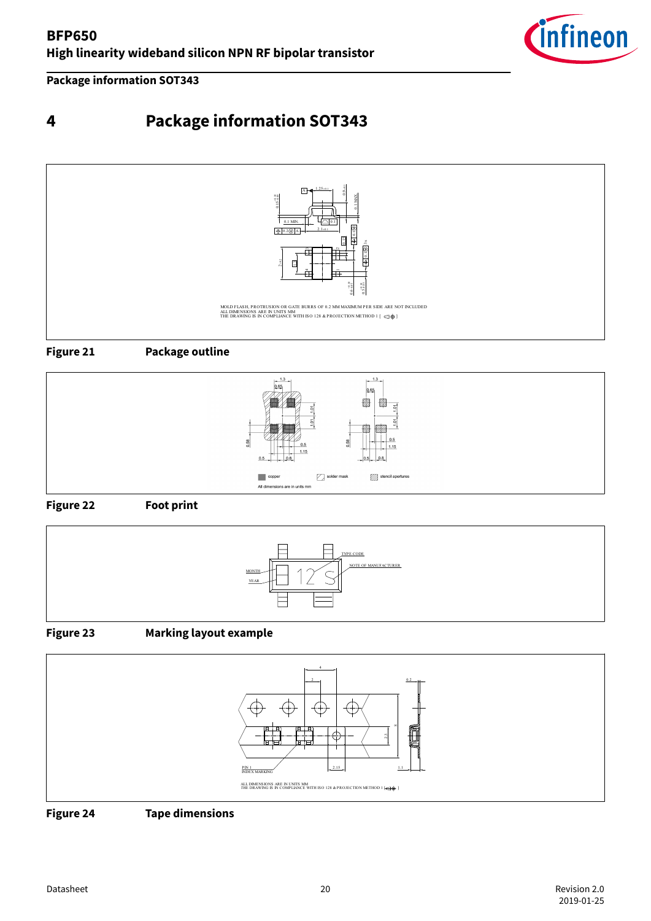

<span id="page-19-0"></span>**Package information SOT343**

# **4 Package information SOT343**











### **Figure 23 Marking layout example**



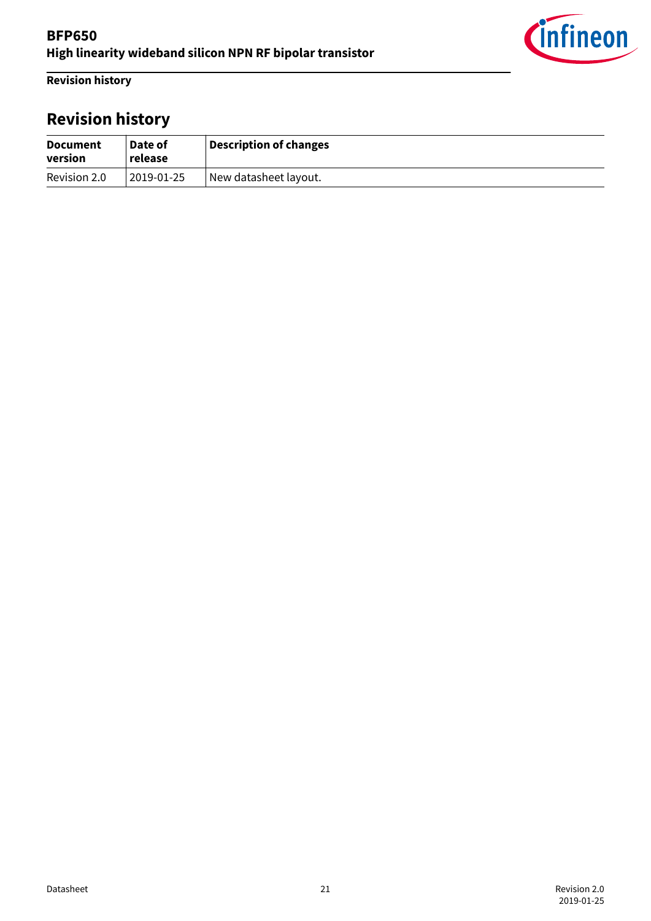

<span id="page-20-0"></span>**Revision history**

# **Revision history**

| <b>Document</b><br>version | Date of<br>release | Description of changes |
|----------------------------|--------------------|------------------------|
| Revision 2.0               | 2019-01-25         | New datasheet layout.  |